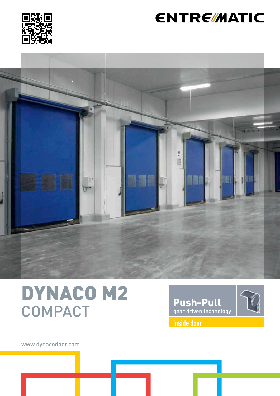

## **ENTRE/MATIC**



# DYNACO M2 **COMPACT**



www.dynacodoor.com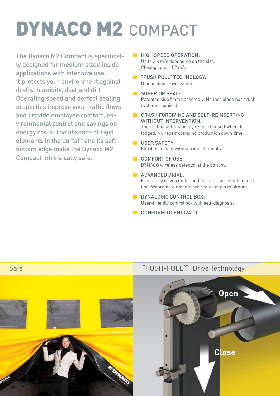# DYNACO M2 COMPACT

The Dynaco M2 Compact is specifically designed for medium sized inside applications with intensive use. It protects your environment against drafts, humidity, dust and dirt. Operating speed and perfect sealing properties improve your traffic flows and provide employee comfort, environmental control and savings on energy costs. The absence of rigid elements in the curtain and its soft bottom edge make the Dynaco M2 Compact intrinsically safe.

- **B** HIGH SPEED OPERATION Up to 2.4 m/s depending on the size. Closing speed 1,2 m/s.
- **B** "PUSH PULL" TECHNOLOGY: Unique door drive system.
- **B** SUPERIOR SEAL: Patented side frame assembly. Neither blade nor brush systems required.
- CRASH FORGIVING AND SELF-REINSERTING WITHOUT INTERVENTION: The curtain automatically reinserts ifself when dislodged. No repair costs, no production down time.

#### **USER SAFETY:**

Flexible curtain without rigid elements.

- COMFORT OF USE· DYNACO wireless detector at the bottom.
- **B** ADVANCED DRIVE: Frequency driven motor and encoder for smooth operation. Wearable elements are reduced to a minimum.
- **B** DYNALOGIC CONTROL BOX: User-friendly control box with self-diagnosis.
- CONFORM TO EN13241-1



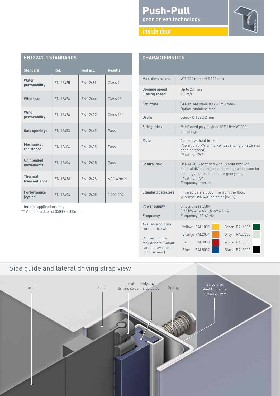#### Push-Pull gear driven technology





| <b>EN13241-1 STANDARDS</b>      |                 |                 |                         |
|---------------------------------|-----------------|-----------------|-------------------------|
| <b>Standard</b>                 | Ref.            | Test acc.       | <b>Results</b>          |
| Water<br>permeability           | EN 12425        | EN 12489        | Class <sub>1</sub>      |
| <b>Wind load</b>                | FN 12424        | FN 12444        | $Class 1*$              |
| Wind<br>permeability            | EN 12426        | FN 12427        | Class 1**               |
| Safe openings                   | EN 12453        | EN 12445        | Pass                    |
| Mechanical<br>resistance        | EN 12604        | EN 12605        | Pass                    |
| <b>Unintended</b><br>movements  | EN 12604        | EN 12605        | Pass                    |
| <b>Thermal</b><br>transmittance | <b>EN 12428</b> | <b>EN 12428</b> | 6,02 W/m <sup>2</sup> K |
| <b>Performance</b><br>(cycles)  | EN 12604        | EN 12605        | 1.000.000               |

\* Interior applications only

\*\* Valid for a door of 3500 x 3500mm

| <b>CHARACTERISTICS</b>                                                                                      |                                                                                                                                                                                     |  |  |  |
|-------------------------------------------------------------------------------------------------------------|-------------------------------------------------------------------------------------------------------------------------------------------------------------------------------------|--|--|--|
| Max. dimensions                                                                                             | W 5.500 mm x H 5.500 mm                                                                                                                                                             |  |  |  |
| <b>Opening speed</b><br><b>Closing speed</b>                                                                | Up to $2,4$ m/s<br>$1.2 \text{ m/s}$                                                                                                                                                |  |  |  |
| <b>Structure</b>                                                                                            | Galvanised steel: 80 x 40 x 3 mm -<br>Option: stainless steel                                                                                                                       |  |  |  |
| Drum                                                                                                        | Steel - $0.102 \times 2 \text{ mm}$                                                                                                                                                 |  |  |  |
| Side guides                                                                                                 | Reinforced polyethylene (PE-UHMW1000),<br>on springs.                                                                                                                               |  |  |  |
| Motor                                                                                                       | 4 poles, without brake<br>Power: 0,75 kW or 1,5 kW (depending on size and<br>opening speed).<br>IP rating: IP65.                                                                    |  |  |  |
| <b>Control box</b>                                                                                          | DYNALOGIC provided with: Circuit breaker,<br>general divider, adjustable timer, push button for<br>opening and reset and emergency stop.<br>IP rating: IP54.<br>Frequency inverter. |  |  |  |
| <b>Standard detectors</b>                                                                                   | Infrared barrier: 300 mm from the floor.<br>Wireless DYNACO detector (WDD).                                                                                                         |  |  |  |
| <b>Power supply</b><br><b>Frequency</b>                                                                     | Single phase 230V<br>$0,75$ kW = 14 A / 1,5 kW = 18 A<br>Frequency: 50-60 Hz                                                                                                        |  |  |  |
| <b>Available colours</b><br>comparable with:<br>(Actual colours<br>may deviate. Colour<br>samples available | Green RAL6005<br>Yellow RAL1003<br><b>RAL7035</b><br>Orange RAL2004<br>Grey<br>Red<br><b>RAL3000</b><br>White RAL9010                                                               |  |  |  |
| upon request)                                                                                               | <b>RAL5002</b><br>Black RAL9005<br>Blue                                                                                                                                             |  |  |  |

### Side guide and lateral driving strap view